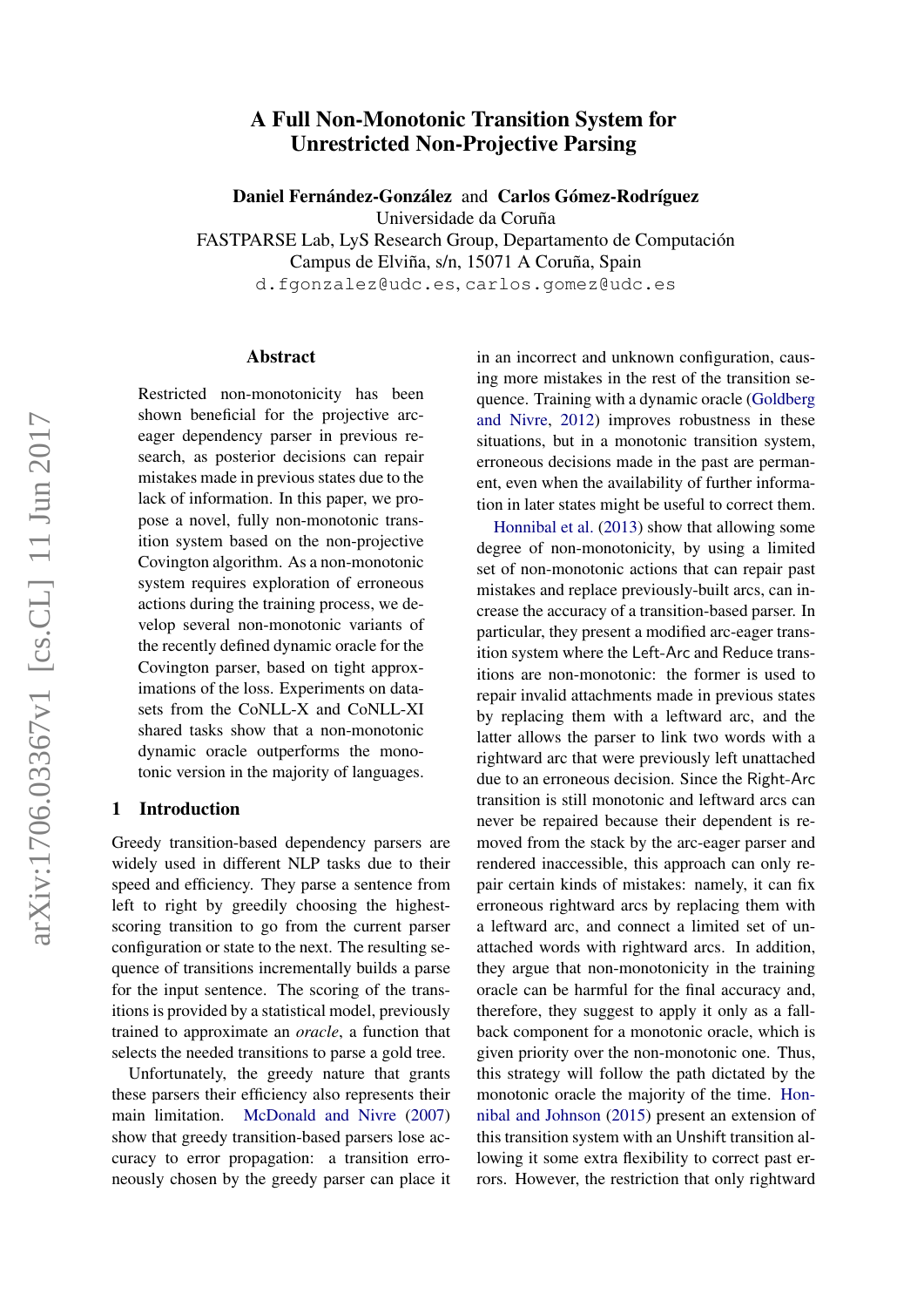# A Full Non-Monotonic Transition System for Unrestricted Non-Projective Parsing

Daniel Fernández-González and Carlos Gómez-Rodríguez Universidade da Coruña

FASTPARSE Lab, LyS Research Group, Departamento de Computación Campus de Elviña, s/n, 15071 A Coruña, Spain

d.fgonzalez@udc.es, carlos.gomez@udc.es

#### Abstract

Restricted non-monotonicity has been shown beneficial for the projective arceager dependency parser in previous research, as posterior decisions can repair mistakes made in previous states due to the lack of information. In this paper, we propose a novel, fully non-monotonic transition system based on the non-projective Covington algorithm. As a non-monotonic system requires exploration of erroneous actions during the training process, we develop several non-monotonic variants of the recently defined dynamic oracle for the Covington parser, based on tight approximations of the loss. Experiments on datasets from the CoNLL-X and CoNLL-XI shared tasks show that a non-monotonic dynamic oracle outperforms the monotonic version in the majority of languages.

### 1 Introduction

Greedy transition-based dependency parsers are widely used in different NLP tasks due to their speed and efficiency. They parse a sentence from left to right by greedily choosing the highestscoring transition to go from the current parser configuration or state to the next. The resulting sequence of transitions incrementally builds a parse for the input sentence. The scoring of the transitions is provided by a statistical model, previously trained to approximate an *oracle*, a function that selects the needed transitions to parse a gold tree.

Unfortunately, the greedy nature that grants these parsers their efficiency also represents their main limitation. [McDonald and Nivre](#page-9-0) [\(2007\)](#page-9-0) show that greedy transition-based parsers lose accuracy to error propagation: a transition erroneously chosen by the greedy parser can place it in an incorrect and unknown configuration, causing more mistakes in the rest of the transition sequence. Training with a dynamic oracle [\(Goldberg](#page-9-1) [and Nivre,](#page-9-1) [2012\)](#page-9-1) improves robustness in these situations, but in a monotonic transition system, erroneous decisions made in the past are permanent, even when the availability of further information in later states might be useful to correct them.

[Honnibal et al.](#page-9-2) [\(2013\)](#page-9-2) show that allowing some degree of non-monotonicity, by using a limited set of non-monotonic actions that can repair past mistakes and replace previously-built arcs, can increase the accuracy of a transition-based parser. In particular, they present a modified arc-eager transition system where the Left-Arc and Reduce transitions are non-monotonic: the former is used to repair invalid attachments made in previous states by replacing them with a leftward arc, and the latter allows the parser to link two words with a rightward arc that were previously left unattached due to an erroneous decision. Since the Right-Arc transition is still monotonic and leftward arcs can never be repaired because their dependent is removed from the stack by the arc-eager parser and rendered inaccessible, this approach can only repair certain kinds of mistakes: namely, it can fix erroneous rightward arcs by replacing them with a leftward arc, and connect a limited set of unattached words with rightward arcs. In addition, they argue that non-monotonicity in the training oracle can be harmful for the final accuracy and, therefore, they suggest to apply it only as a fallback component for a monotonic oracle, which is given priority over the non-monotonic one. Thus, this strategy will follow the path dictated by the monotonic oracle the majority of the time. [Hon](#page-9-3)[nibal and Johnson](#page-9-3) [\(2015\)](#page-9-3) present an extension of this transition system with an Unshift transition allowing it some extra flexibility to correct past errors. However, the restriction that only rightward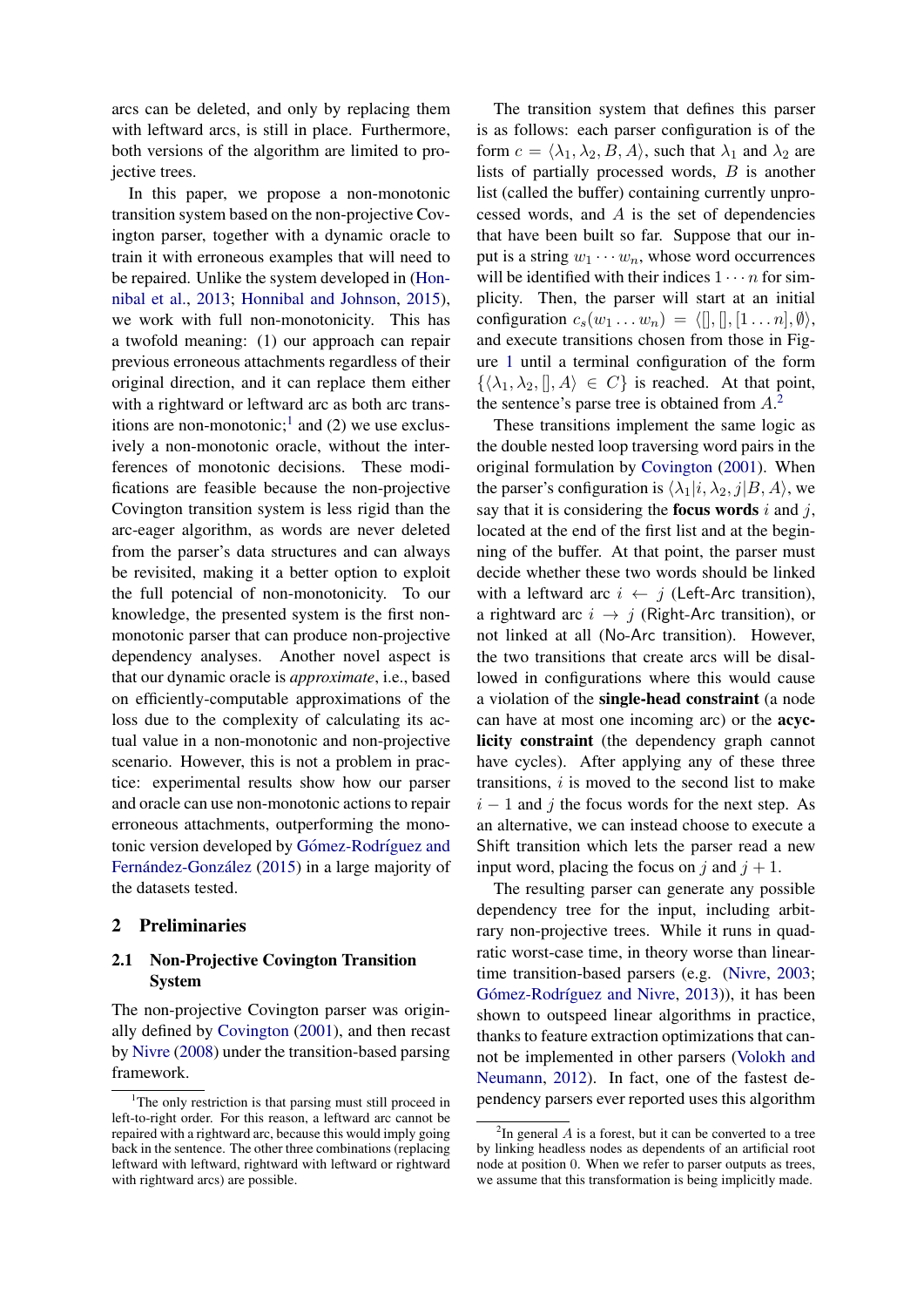arcs can be deleted, and only by replacing them with leftward arcs, is still in place. Furthermore, both versions of the algorithm are limited to projective trees.

In this paper, we propose a non-monotonic transition system based on the non-projective Covington parser, together with a dynamic oracle to train it with erroneous examples that will need to be repaired. Unlike the system developed in [\(Hon](#page-9-2)[nibal et al.,](#page-9-2) [2013;](#page-9-2) [Honnibal and Johnson,](#page-9-3) [2015\)](#page-9-3), we work with full non-monotonicity. This has a twofold meaning: (1) our approach can repair previous erroneous attachments regardless of their original direction, and it can replace them either with a rightward or leftward arc as both arc trans-itions are non-monotonic;<sup>[1](#page-1-0)</sup> and (2) we use exclusively a non-monotonic oracle, without the interferences of monotonic decisions. These modifications are feasible because the non-projective Covington transition system is less rigid than the arc-eager algorithm, as words are never deleted from the parser's data structures and can always be revisited, making it a better option to exploit the full potencial of non-monotonicity. To our knowledge, the presented system is the first nonmonotonic parser that can produce non-projective dependency analyses. Another novel aspect is that our dynamic oracle is *approximate*, i.e., based on efficiently-computable approximations of the loss due to the complexity of calculating its actual value in a non-monotonic and non-projective scenario. However, this is not a problem in practice: experimental results show how our parser and oracle can use non-monotonic actions to repair erroneous attachments, outperforming the monotonic version developed by Gómez-Rodríguez and Fernández-González [\(2015\)](#page-9-4) in a large majority of the datasets tested.

### 2 Preliminaries

# 2.1 Non-Projective Covington Transition System

The non-projective Covington parser was originally defined by [Covington](#page-9-5) [\(2001\)](#page-9-5), and then recast by [Nivre](#page-9-6) [\(2008\)](#page-9-6) under the transition-based parsing framework.

The transition system that defines this parser is as follows: each parser configuration is of the form  $c = \langle \lambda_1, \lambda_2, B, A \rangle$ , such that  $\lambda_1$  and  $\lambda_2$  are lists of partially processed words, B is another list (called the buffer) containing currently unprocessed words, and A is the set of dependencies that have been built so far. Suppose that our input is a string  $w_1 \cdots w_n$ , whose word occurrences will be identified with their indices  $1 \cdots n$  for simplicity. Then, the parser will start at an initial configuration  $c_s(w_1 \ldots w_n) = \langle [],[],[1 \ldots n], \emptyset \rangle$ , and execute transitions chosen from those in Figure [1](#page-2-0) until a terminal configuration of the form  $\{\langle \lambda_1, \lambda_2, \langle \cdot, A \rangle \in C\}$  is reached. At that point, the sentence's parse tree is obtained from  $A<sup>2</sup>$  $A<sup>2</sup>$  $A<sup>2</sup>$ .

These transitions implement the same logic as the double nested loop traversing word pairs in the original formulation by [Covington](#page-9-5) [\(2001\)](#page-9-5). When the parser's configuration is  $\langle \lambda_1|i, \lambda_2, j|B, A \rangle$ , we say that it is considering the focus words  $i$  and  $j$ , located at the end of the first list and at the beginning of the buffer. At that point, the parser must decide whether these two words should be linked with a leftward arc  $i \leftarrow j$  (Left-Arc transition), a rightward arc  $i \rightarrow j$  (Right-Arc transition), or not linked at all (No-Arc transition). However, the two transitions that create arcs will be disallowed in configurations where this would cause a violation of the single-head constraint (a node can have at most one incoming arc) or the acyclicity constraint (the dependency graph cannot have cycles). After applying any of these three transitions,  $i$  is moved to the second list to make  $i - 1$  and j the focus words for the next step. As an alternative, we can instead choose to execute a Shift transition which lets the parser read a new input word, placing the focus on j and  $j + 1$ .

The resulting parser can generate any possible dependency tree for the input, including arbitrary non-projective trees. While it runs in quadratic worst-case time, in theory worse than lineartime transition-based parsers (e.g. [\(Nivre,](#page-9-7) [2003;](#page-9-7) Gómez-Rodríguez and Nivre, [2013\)](#page-9-8)), it has been shown to outspeed linear algorithms in practice, thanks to feature extraction optimizations that cannot be implemented in other parsers [\(Volokh and](#page-10-0) [Neumann,](#page-10-0) [2012\)](#page-10-0). In fact, one of the fastest dependency parsers ever reported uses this algorithm

<span id="page-1-0"></span><sup>&</sup>lt;sup>1</sup>The only restriction is that parsing must still proceed in left-to-right order. For this reason, a leftward arc cannot be repaired with a rightward arc, because this would imply going back in the sentence. The other three combinations (replacing leftward with leftward, rightward with leftward or rightward with rightward arcs) are possible.

<span id="page-1-1"></span> ${}^{2}$ In general A is a forest, but it can be converted to a tree by linking headless nodes as dependents of an artificial root node at position 0. When we refer to parser outputs as trees, we assume that this transformation is being implicitly made.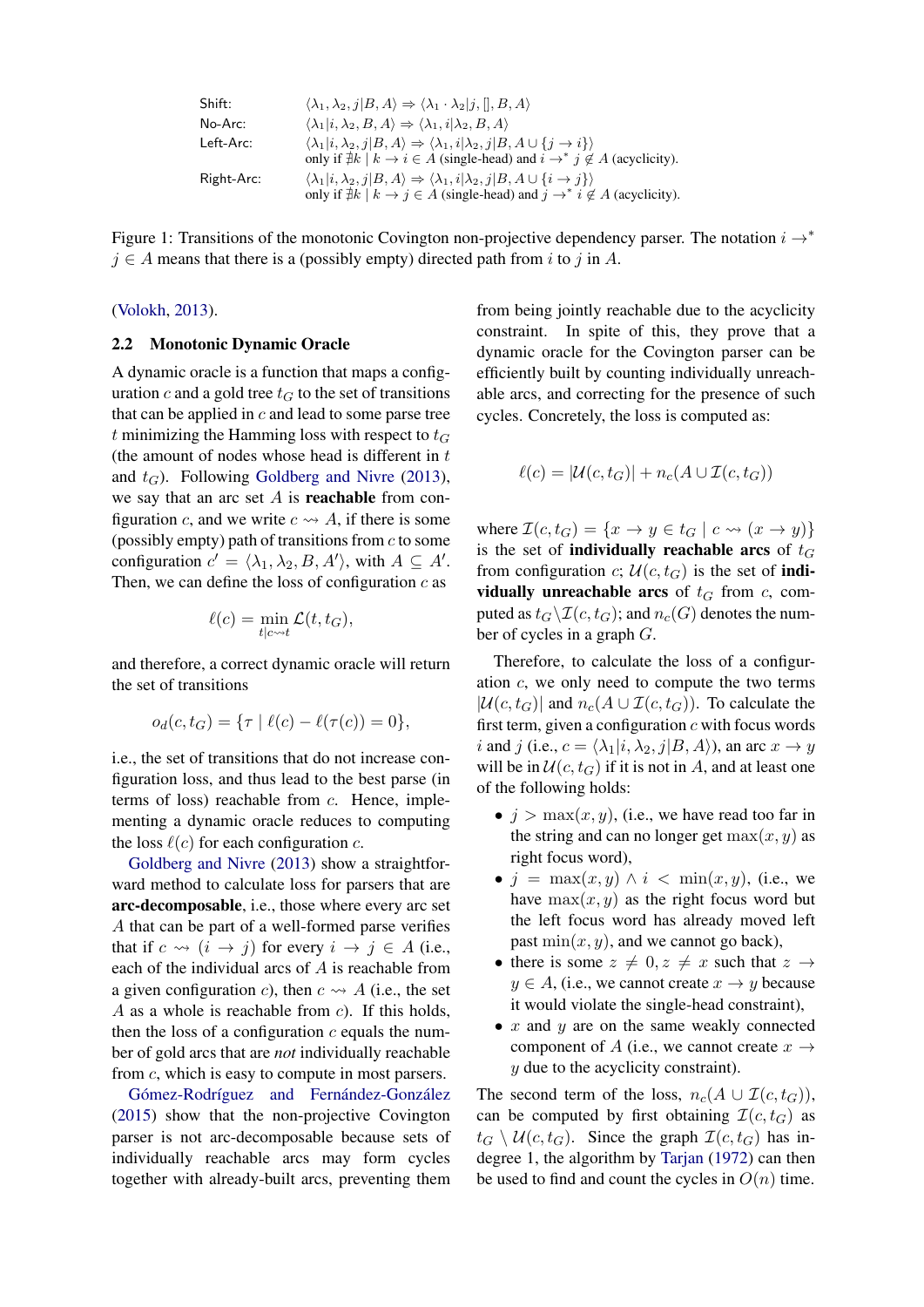| Shift:                                                                                                      | $\langle \lambda_1, \lambda_2, j   B, A \rangle \Rightarrow \langle \lambda_1 \cdot \lambda_2   j, [], B, A \rangle$                         |
|-------------------------------------------------------------------------------------------------------------|----------------------------------------------------------------------------------------------------------------------------------------------|
| No-Arc:                                                                                                     | $\langle \lambda_1   i, \lambda_2, B, A \rangle \Rightarrow \langle \lambda_1, i   \lambda_2, B, A \rangle$                                  |
| Left-Arc:                                                                                                   | $\langle \lambda_1   i, \lambda_2, j   B, A \rangle \Rightarrow \langle \lambda_1, i   \lambda_2, j   B, A \cup \{j \rightarrow i\} \rangle$ |
| only if $\nexists k   k \rightarrow i \in A$ (single-head) and $i \rightarrow^* j \notin A$ (acyclicity).\n |                                                                                                                                              |
| Right-Arc:                                                                                                  | $\langle \lambda_1   i, \lambda_2, j   B, A \rangle \Rightarrow \langle \lambda_1, i   \lambda_2, j   B, A \cup \{i \rightarrow j\} \rangle$ |
| only if $\nexists k   k \rightarrow j \in A$ (single-head) and $j \rightarrow^* i \notin A$ (acyclicity).\n |                                                                                                                                              |

<span id="page-2-0"></span>Figure 1: Transitions of the monotonic Covington non-projective dependency parser. The notation  $i \rightarrow^*$  $j \in A$  means that there is a (possibly empty) directed path from i to j in A.

#### [\(Volokh,](#page-9-9) [2013\)](#page-9-9).

#### 2.2 Monotonic Dynamic Oracle

A dynamic oracle is a function that maps a configuration c and a gold tree  $t_G$  to the set of transitions that can be applied in  $c$  and lead to some parse tree t minimizing the Hamming loss with respect to  $t_G$ (the amount of nodes whose head is different in  $t$ ) and  $t_G$ ). Following [Goldberg and Nivre](#page-9-10) [\(2013\)](#page-9-10), we say that an arc set  $A$  is **reachable** from configuration c, and we write  $c \rightarrow A$ , if there is some (possibly empty) path of transitions from  $c$  to some configuration  $c' = \langle \lambda_1, \lambda_2, B, A' \rangle$ , with  $A \subseteq A'$ . Then, we can define the loss of configuration  $c$  as

$$
\ell(c) = \min_{t|c \leadsto t} \mathcal{L}(t, t_G),
$$

and therefore, a correct dynamic oracle will return the set of transitions

$$
o_d(c, t_G) = \{ \tau \mid \ell(c) - \ell(\tau(c)) = 0 \},
$$

i.e., the set of transitions that do not increase configuration loss, and thus lead to the best parse (in terms of loss) reachable from  $c$ . Hence, implementing a dynamic oracle reduces to computing the loss  $\ell(c)$  for each configuration c.

[Goldberg and Nivre](#page-9-10) [\(2013\)](#page-9-10) show a straightforward method to calculate loss for parsers that are arc-decomposable, i.e., those where every arc set A that can be part of a well-formed parse verifies that if  $c \leadsto (i \to j)$  for every  $i \to j \in A$  (i.e., each of the individual arcs of A is reachable from a given configuration c), then  $c \rightsquigarrow A$  (i.e., the set A as a whole is reachable from  $c$ ). If this holds, then the loss of a configuration  $c$  equals the number of gold arcs that are *not* individually reachable from c, which is easy to compute in most parsers.

Gómez-Rodríguez and Fernández-González [\(2015\)](#page-9-4) show that the non-projective Covington parser is not arc-decomposable because sets of individually reachable arcs may form cycles together with already-built arcs, preventing them from being jointly reachable due to the acyclicity constraint. In spite of this, they prove that a dynamic oracle for the Covington parser can be efficiently built by counting individually unreachable arcs, and correcting for the presence of such cycles. Concretely, the loss is computed as:

$$
\ell(c) = |\mathcal{U}(c, t_G)| + n_c(A \cup \mathcal{I}(c, t_G))
$$

where  $\mathcal{I}(c, t_G) = \{x \to y \in t_G \mid c \leadsto (x \to y)\}\$ is the set of **individually reachable arcs** of  $t_G$ from configuration c;  $\mathcal{U}(c, t_G)$  is the set of **indi**vidually unreachable arcs of  $t_G$  from c, computed as  $t_G \backslash \mathcal{I}(c, t_G)$ ; and  $n_c(G)$  denotes the number of cycles in a graph G.

Therefore, to calculate the loss of a configuration c, we only need to compute the two terms  $|\mathcal{U}(c, t_G)|$  and  $n_c(A \cup \mathcal{I}(c, t_G))$ . To calculate the first term, given a configuration  $c$  with focus words i and j (i.e.,  $c = \langle \lambda_1 | i, \lambda_2, j | B, A \rangle$ ), an arc  $x \to y$ will be in  $U(c, t_G)$  if it is not in A, and at least one of the following holds:

- $j > \max(x, y)$ , (i.e., we have read too far in the string and can no longer get  $max(x, y)$  as right focus word),
- $j = \max(x, y) \wedge i < \min(x, y)$ , (i.e., we have  $\max(x, y)$  as the right focus word but the left focus word has already moved left past  $min(x, y)$ , and we cannot go back),
- there is some  $z \neq 0, z \neq x$  such that  $z \rightarrow$  $y \in A$ , (i.e., we cannot create  $x \to y$  because it would violate the single-head constraint),
- $x$  and  $y$  are on the same weakly connected component of A (i.e., we cannot create  $x \rightarrow$  $y$  due to the acyclicity constraint).

The second term of the loss,  $n_c(A \cup \mathcal{I}(c, t_G)),$ can be computed by first obtaining  $\mathcal{I}(c, t_G)$  as  $t_G \setminus \mathcal{U}(c, t_G)$ . Since the graph  $\mathcal{I}(c, t_G)$  has indegree 1, the algorithm by [Tarjan](#page-9-11) [\(1972\)](#page-9-11) can then be used to find and count the cycles in  $O(n)$  time.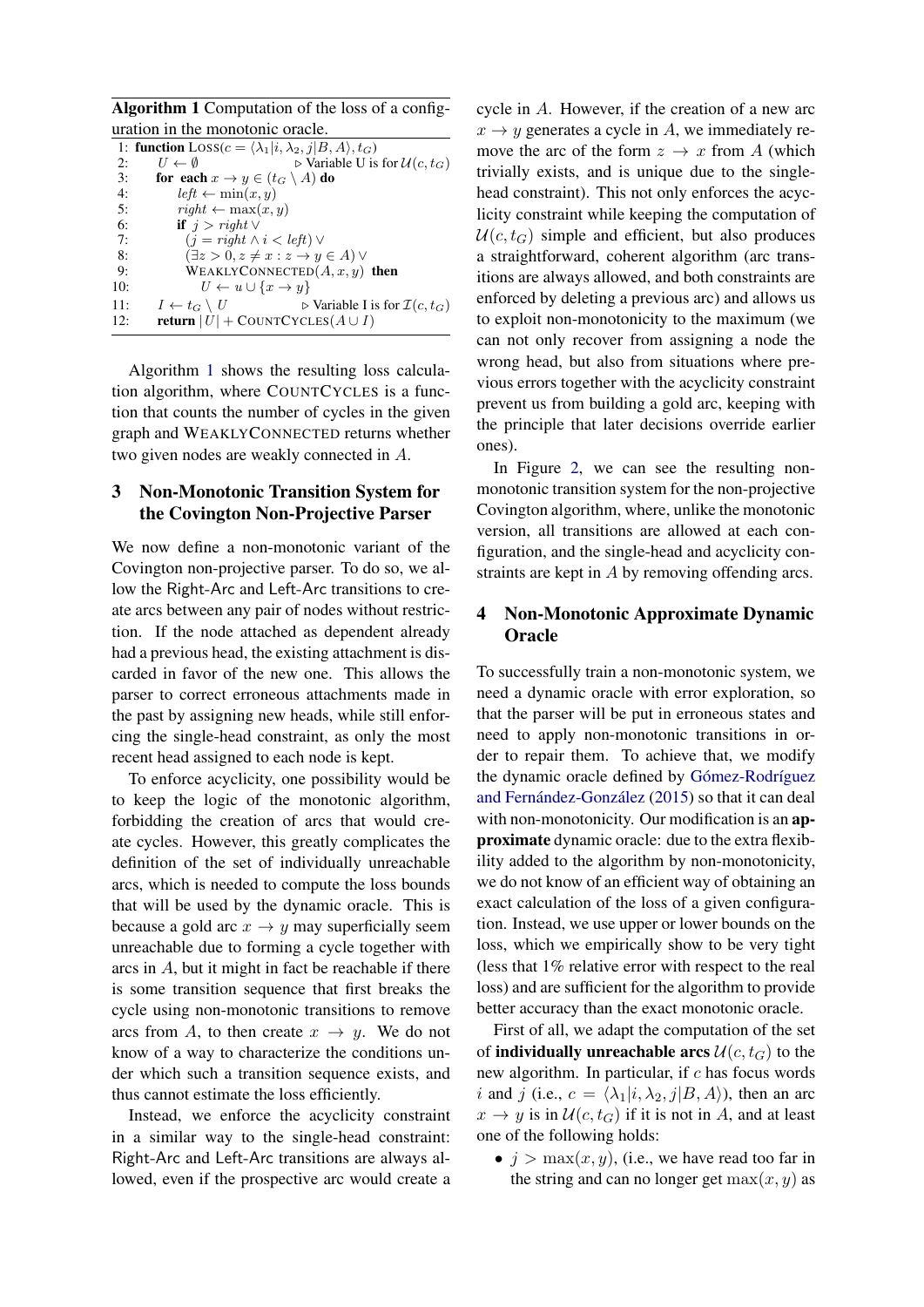Algorithm 1 Computation of the loss of a configuration in the monotonic oracle.

<span id="page-3-0"></span>

| 1: function $Loss(c = \langle \lambda_1   i, \lambda_2, j   B, A \rangle, t_G)$            |
|--------------------------------------------------------------------------------------------|
| $\triangleright$ Variable U is for $\mathcal{U}(c, t_G)$<br>$U \leftarrow \emptyset$       |
| for each $x \to y \in (t_G \setminus A)$ do                                                |
| $left \leftarrow \min(x, y)$                                                               |
| $right \leftarrow \max(x, y)$                                                              |
| if $j > right \vee$                                                                        |
| $(j = right \land i < left) \lor$                                                          |
| $(\exists z > 0, z \neq x : z \rightarrow y \in A)$                                        |
| WEAKLYCONNECTED $(A, x, y)$ then                                                           |
| $U \leftarrow u \cup \{x \rightarrow y\}$                                                  |
| $\triangleright$ Variable I is for $\mathcal{I}(c, t_G)$<br>$I \leftarrow t_G \setminus U$ |
| <b>return</b> $ U $ + COUNTCYCLES( $A \cup I$ )                                            |
|                                                                                            |

Algorithm [1](#page-3-0) shows the resulting loss calculation algorithm, where COUNTCYCLES is a function that counts the number of cycles in the given graph and WEAKLYCONNECTED returns whether two given nodes are weakly connected in A.

# 3 Non-Monotonic Transition System for the Covington Non-Projective Parser

We now define a non-monotonic variant of the Covington non-projective parser. To do so, we allow the Right-Arc and Left-Arc transitions to create arcs between any pair of nodes without restriction. If the node attached as dependent already had a previous head, the existing attachment is discarded in favor of the new one. This allows the parser to correct erroneous attachments made in the past by assigning new heads, while still enforcing the single-head constraint, as only the most recent head assigned to each node is kept.

To enforce acyclicity, one possibility would be to keep the logic of the monotonic algorithm, forbidding the creation of arcs that would create cycles. However, this greatly complicates the definition of the set of individually unreachable arcs, which is needed to compute the loss bounds that will be used by the dynamic oracle. This is because a gold arc  $x \to y$  may superficially seem unreachable due to forming a cycle together with arcs in A, but it might in fact be reachable if there is some transition sequence that first breaks the cycle using non-monotonic transitions to remove arcs from A, to then create  $x \to y$ . We do not know of a way to characterize the conditions under which such a transition sequence exists, and thus cannot estimate the loss efficiently.

Instead, we enforce the acyclicity constraint in a similar way to the single-head constraint: Right-Arc and Left-Arc transitions are always allowed, even if the prospective arc would create a

cycle in A. However, if the creation of a new arc  $x \rightarrow y$  generates a cycle in A, we immediately remove the arc of the form  $z \to x$  from A (which trivially exists, and is unique due to the singlehead constraint). This not only enforces the acyclicity constraint while keeping the computation of  $U(c, t_G)$  simple and efficient, but also produces a straightforward, coherent algorithm (arc transitions are always allowed, and both constraints are enforced by deleting a previous arc) and allows us to exploit non-monotonicity to the maximum (we can not only recover from assigning a node the wrong head, but also from situations where previous errors together with the acyclicity constraint prevent us from building a gold arc, keeping with the principle that later decisions override earlier ones).

In Figure [2,](#page-4-0) we can see the resulting nonmonotonic transition system for the non-projective Covington algorithm, where, unlike the monotonic version, all transitions are allowed at each configuration, and the single-head and acyclicity constraints are kept in A by removing offending arcs.

## 4 Non-Monotonic Approximate Dynamic **Oracle**

To successfully train a non-monotonic system, we need a dynamic oracle with error exploration, so that the parser will be put in erroneous states and need to apply non-monotonic transitions in order to repair them. To achieve that, we modify the dynamic oracle defined by Gómez-Rodríguez and Fernández-González [\(2015\)](#page-9-4) so that it can deal with non-monotonicity. Our modification is an approximate dynamic oracle: due to the extra flexibility added to the algorithm by non-monotonicity, we do not know of an efficient way of obtaining an exact calculation of the loss of a given configuration. Instead, we use upper or lower bounds on the loss, which we empirically show to be very tight (less that 1% relative error with respect to the real loss) and are sufficient for the algorithm to provide better accuracy than the exact monotonic oracle.

First of all, we adapt the computation of the set of **individually unreachable arcs**  $\mathcal{U}(c, t_G)$  to the new algorithm. In particular, if  $c$  has focus words i and j (i.e.,  $c = \langle \lambda_1 | i, \lambda_2, j | B, A \rangle$ ), then an arc  $x \to y$  is in  $\mathcal{U}(c, t_G)$  if it is not in A, and at least one of the following holds:

•  $j > \max(x, y)$ , (i.e., we have read too far in the string and can no longer get  $max(x, y)$  as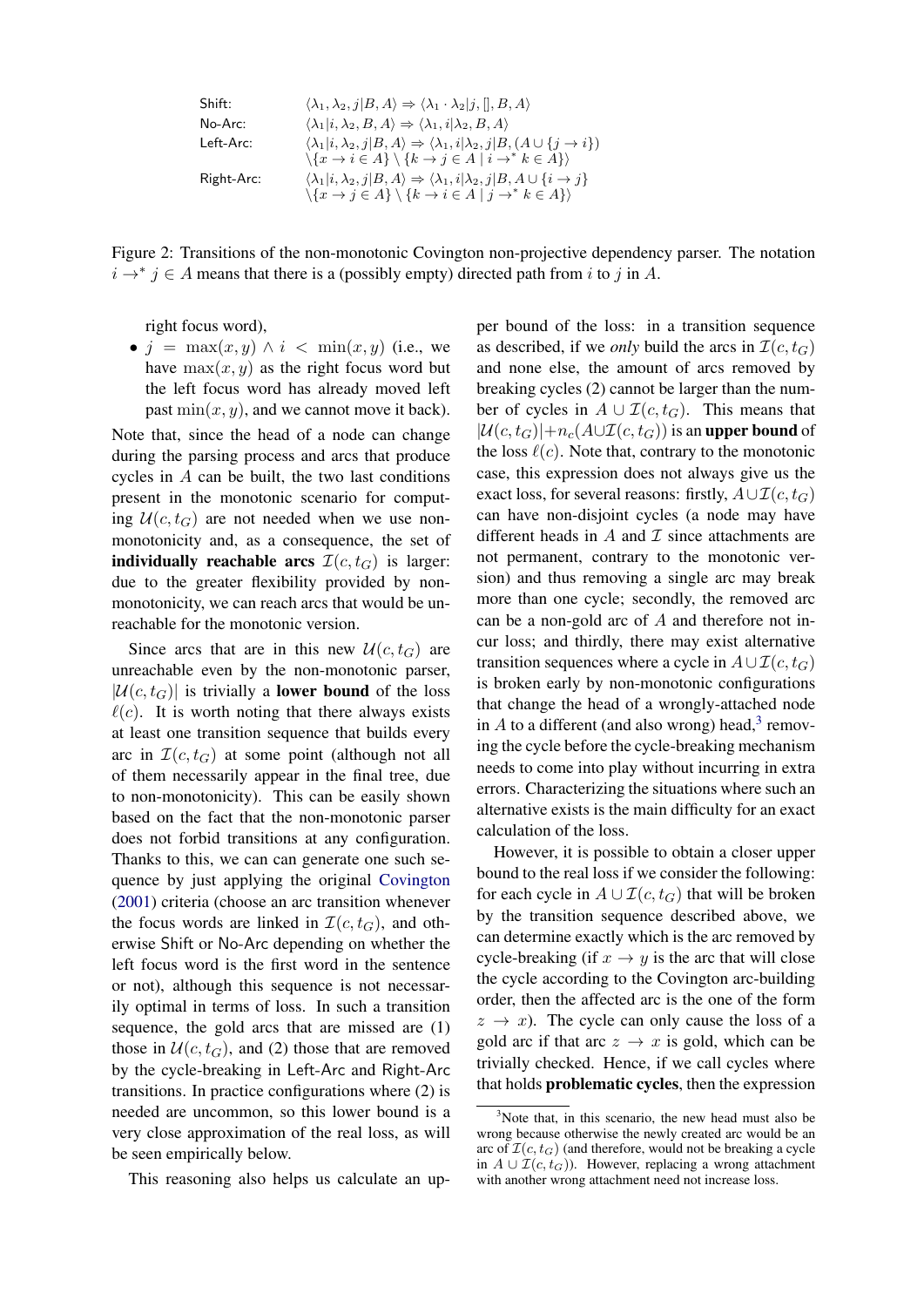| Shift:     | $\langle \lambda_1, \lambda_2, j   B, A \rangle \Rightarrow \langle \lambda_1 \cdot \lambda_2   j, [], B, A \rangle$                   |
|------------|----------------------------------------------------------------------------------------------------------------------------------------|
| No-Arc:    | $\langle \lambda_1   i, \lambda_2, B, A \rangle \Rightarrow \langle \lambda_1, i   \lambda_2, B, A \rangle$                            |
| Left-Arc:  | $\langle \lambda_1   i, \lambda_2, j   B, A \rangle \Rightarrow \langle \lambda_1, i   \lambda_2, j   B, (A \cup \{j \rightarrow i\})$ |
| Right-Arc: | $\langle \lambda_1   i, \lambda_2, j   B, A \rangle \Rightarrow \langle \lambda_1, i   \lambda_2, j   B, A \cup \{i \rightarrow j\}$   |
| Right-Arc: | $\langle \lambda_1   i, \lambda_2, j   B, A \rangle \Rightarrow \langle \lambda_1, i   \lambda_2, j   B, A \cup \{i \rightarrow j\}$   |
| Right-Arc: | $\langle \lambda_1   i, \lambda_2, j   B, A \rangle \Rightarrow \langle \lambda_1, i   \lambda_2, j   B, A \cup \{i \rightarrow j\}$   |
| Right-Arc: | $\langle \lambda_1   i, \lambda_2, j   B, A \rangle \Rightarrow \langle \lambda_1, i   \lambda_2, j   B, A \cup \{i \rightarrow j\}$   |

<span id="page-4-0"></span>Figure 2: Transitions of the non-monotonic Covington non-projective dependency parser. The notation  $i \rightarrow^* j \in A$  means that there is a (possibly empty) directed path from i to j in A.

right focus word),

•  $j = \max(x, y) \land i < \min(x, y)$  (i.e., we have  $max(x, y)$  as the right focus word but the left focus word has already moved left past  $min(x, y)$ , and we cannot move it back).

Note that, since the head of a node can change during the parsing process and arcs that produce cycles in A can be built, the two last conditions present in the monotonic scenario for computing  $U(c, t_G)$  are not needed when we use nonmonotonicity and, as a consequence, the set of individually reachable arcs  $\mathcal{I}(c, t_G)$  is larger: due to the greater flexibility provided by nonmonotonicity, we can reach arcs that would be unreachable for the monotonic version.

Since arcs that are in this new  $\mathcal{U}(c, t_G)$  are unreachable even by the non-monotonic parser,  $|\mathcal{U}(c, t_G)|$  is trivially a **lower bound** of the loss  $\ell(c)$ . It is worth noting that there always exists at least one transition sequence that builds every arc in  $\mathcal{I}(c, t_G)$  at some point (although not all of them necessarily appear in the final tree, due to non-monotonicity). This can be easily shown based on the fact that the non-monotonic parser does not forbid transitions at any configuration. Thanks to this, we can can generate one such sequence by just applying the original [Covington](#page-9-5) [\(2001\)](#page-9-5) criteria (choose an arc transition whenever the focus words are linked in  $\mathcal{I}(c, t_G)$ , and otherwise Shift or No-Arc depending on whether the left focus word is the first word in the sentence or not), although this sequence is not necessarily optimal in terms of loss. In such a transition sequence, the gold arcs that are missed are (1) those in  $U(c, t_G)$ , and (2) those that are removed by the cycle-breaking in Left-Arc and Right-Arc transitions. In practice configurations where (2) is needed are uncommon, so this lower bound is a very close approximation of the real loss, as will be seen empirically below.

This reasoning also helps us calculate an up-

per bound of the loss: in a transition sequence as described, if we *only* build the arcs in  $\mathcal{I}(c, t_G)$ and none else, the amount of arcs removed by breaking cycles (2) cannot be larger than the number of cycles in  $A \cup \mathcal{I}(c, t_G)$ . This means that  $|\mathcal{U}(c, t_G)|+n_c(A\cup \mathcal{I}(c, t_G))$  is an upper bound of the loss  $\ell(c)$ . Note that, contrary to the monotonic case, this expression does not always give us the exact loss, for several reasons: firstly,  $A\cup \mathcal{I}(c, t_G)$ can have non-disjoint cycles (a node may have different heads in  $A$  and  $I$  since attachments are not permanent, contrary to the monotonic version) and thus removing a single arc may break more than one cycle; secondly, the removed arc can be a non-gold arc of A and therefore not incur loss; and thirdly, there may exist alternative transition sequences where a cycle in  $A \cup \mathcal{I}(c, t_G)$ is broken early by non-monotonic configurations that change the head of a wrongly-attached node in  $A$  to a different (and also wrong) head,<sup>[3](#page-4-1)</sup> removing the cycle before the cycle-breaking mechanism needs to come into play without incurring in extra errors. Characterizing the situations where such an alternative exists is the main difficulty for an exact calculation of the loss.

However, it is possible to obtain a closer upper bound to the real loss if we consider the following: for each cycle in  $A \cup \mathcal{I}(c, t_G)$  that will be broken by the transition sequence described above, we can determine exactly which is the arc removed by cycle-breaking (if  $x \rightarrow y$  is the arc that will close the cycle according to the Covington arc-building order, then the affected arc is the one of the form  $z \rightarrow x$ ). The cycle can only cause the loss of a gold arc if that arc  $z \rightarrow x$  is gold, which can be trivially checked. Hence, if we call cycles where that holds problematic cycles, then the expression

<span id="page-4-1"></span> $3$ Note that, in this scenario, the new head must also be wrong because otherwise the newly created arc would be an arc of  $\mathcal{I}(c, t_G)$  (and therefore, would not be breaking a cycle in  $A \cup \mathcal{I}(c, t_G)$ ). However, replacing a wrong attachment with another wrong attachment need not increase loss.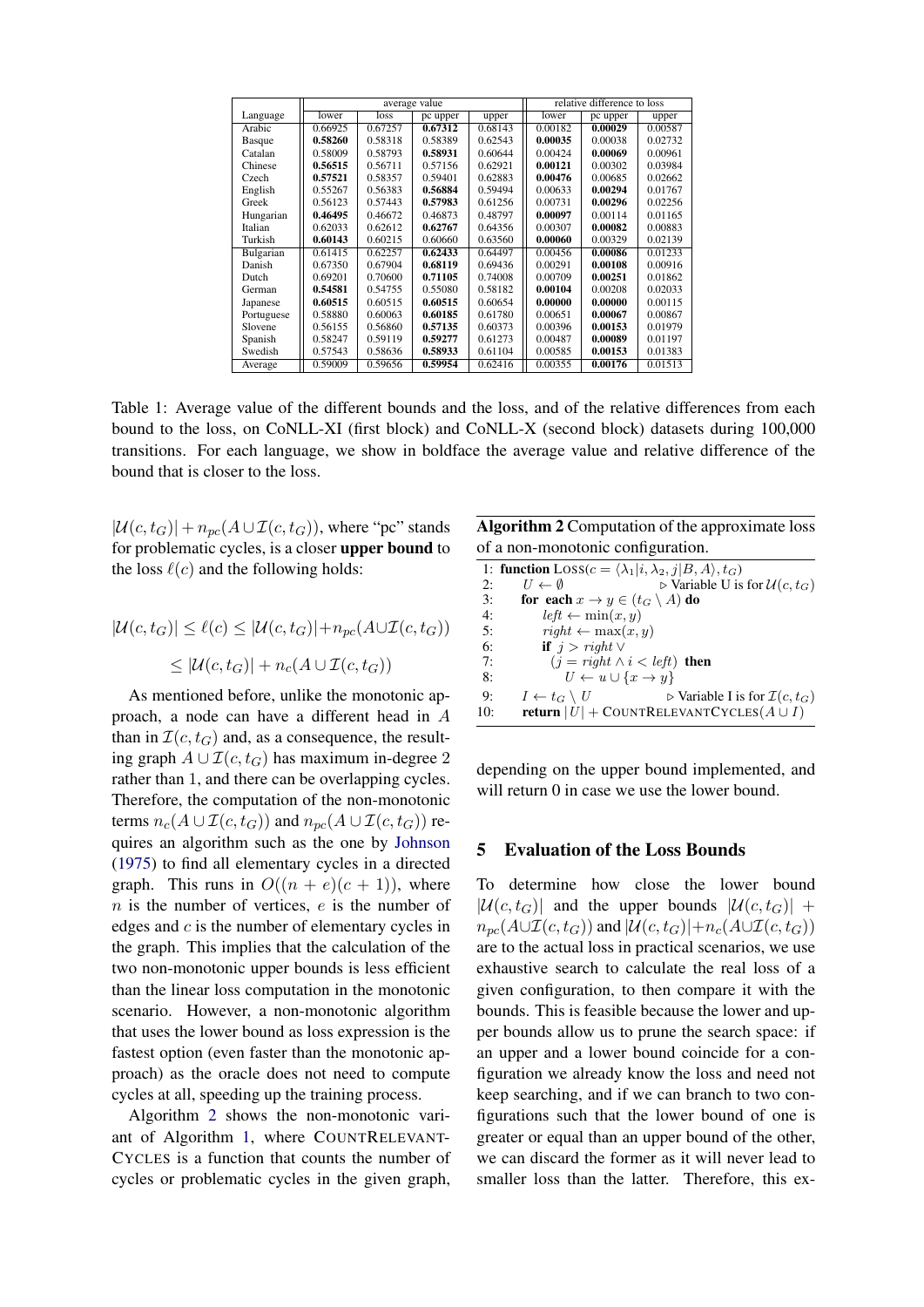|               |               |         | average value | relative difference to loss |         |          |         |
|---------------|---------------|---------|---------------|-----------------------------|---------|----------|---------|
| Language      | lower<br>loss |         | pc upper      | upper                       | lower   | pc upper | upper   |
| Arabic        | 0.66925       | 0.67257 | 0.67312       | 0.68143                     | 0.00182 | 0.00029  | 0.00587 |
| <b>Basque</b> | 0.58260       | 0.58318 | 0.58389       | 0.62543                     | 0.00035 | 0.00038  | 0.02732 |
| Catalan       | 0.58009       | 0.58793 | 0.58931       | 0.60644                     | 0.00424 | 0.00069  | 0.00961 |
| Chinese       | 0.56515       | 0.56711 | 0.57156       | 0.62921                     | 0.00121 | 0.00302  | 0.03984 |
| Czech         | 0.57521       | 0.58357 | 0.59401       | 0.62883                     | 0.00476 | 0.00685  | 0.02662 |
| English       | 0.55267       | 0.56383 | 0.56884       | 0.59494                     | 0.00633 | 0.00294  | 0.01767 |
| Greek         | 0.56123       | 0.57443 | 0.57983       | 0.61256                     | 0.00731 | 0.00296  | 0.02256 |
| Hungarian     | 0.46495       | 0.46672 | 0.46873       | 0.48797                     | 0.00097 | 0.00114  | 0.01165 |
| Italian       | 0.62033       | 0.62612 | 0.62767       | 0.64356                     | 0.00307 | 0.00082  | 0.00883 |
| Turkish       | 0.60143       | 0.60215 | 0.60660       | 0.63560                     | 0.00060 | 0.00329  | 0.02139 |
| Bulgarian     | 0.61415       | 0.62257 | 0.62433       | 0.64497                     | 0.00456 | 0.00086  | 0.01233 |
| Danish        | 0.67350       | 0.67904 | 0.68119       | 0.69436                     | 0.00291 | 0.00108  | 0.00916 |
| Dutch         | 0.69201       | 0.70600 | 0.71105       | 0.74008                     | 0.00709 | 0.00251  | 0.01862 |
| German        | 0.54581       | 0.54755 | 0.55080       | 0.58182                     | 0.00104 | 0.00208  | 0.02033 |
| Japanese      | 0.60515       | 0.60515 | 0.60515       | 0.60654                     | 0.00000 | 0.00000  | 0.00115 |
| Portuguese    | 0.58880       | 0.60063 | 0.60185       | 0.61780                     | 0.00651 | 0.00067  | 0.00867 |
| Slovene       | 0.56155       | 0.56860 | 0.57135       | 0.60373                     | 0.00396 | 0.00153  | 0.01979 |
| Spanish       | 0.58247       | 0.59119 | 0.59277       | 0.61273                     | 0.00487 | 0.00089  | 0.01197 |
| Swedish       | 0.57543       | 0.58636 | 0.58933       | 0.61104                     | 0.00585 | 0.00153  | 0.01383 |
| Average       | 0.59009       | 0.59656 | 0.59954       | 0.62416                     | 0.00355 | 0.00176  | 0.01513 |

Table 1: Average value of the different bounds and the loss, and of the relative differences from each bound to the loss, on CoNLL-XI (first block) and CoNLL-X (second block) datasets during 100,000 transitions. For each language, we show in boldface the average value and relative difference of the bound that is closer to the loss.

 $|\mathcal{U}(c, t_G)| + n_{pc}(A \cup \mathcal{I}(c, t_G))$ , where "pc" stands for problematic cycles, is a closer upper bound to the loss  $\ell(c)$  and the following holds:

$$
|\mathcal{U}(c, t_G)| \le \ell(c) \le |\mathcal{U}(c, t_G)| + n_{pc}(A \cup \mathcal{I}(c, t_G))
$$
  

$$
\le |\mathcal{U}(c, t_G)| + n_c(A \cup \mathcal{I}(c, t_G))
$$

As mentioned before, unlike the monotonic approach, a node can have a different head in A than in  $\mathcal{I}(c, t_G)$  and, as a consequence, the resulting graph  $A \cup \mathcal{I}(c, t_G)$  has maximum in-degree 2 rather than 1, and there can be overlapping cycles. Therefore, the computation of the non-monotonic terms  $n_c(A \cup \mathcal{I}(c,t_G))$  and  $n_{pc}(A \cup \mathcal{I}(c,t_G))$  requires an algorithm such as the one by [Johnson](#page-9-12) [\(1975\)](#page-9-12) to find all elementary cycles in a directed graph. This runs in  $O((n + e)(c + 1))$ , where  $n$  is the number of vertices,  $e$  is the number of edges and c is the number of elementary cycles in the graph. This implies that the calculation of the two non-monotonic upper bounds is less efficient than the linear loss computation in the monotonic scenario. However, a non-monotonic algorithm that uses the lower bound as loss expression is the fastest option (even faster than the monotonic approach) as the oracle does not need to compute cycles at all, speeding up the training process.

Algorithm [2](#page-5-0) shows the non-monotonic variant of Algorithm [1,](#page-3-0) where COUNTRELEVANT-CYCLES is a function that counts the number of cycles or problematic cycles in the given graph,

<span id="page-5-1"></span>Algorithm 2 Computation of the approximate loss of a non-monotonic configuration.

<span id="page-5-0"></span>

|     | 1: function $Loss(c = \langle \lambda_1   i, \lambda_2, j   B, A \rangle, t_G)$            |
|-----|--------------------------------------------------------------------------------------------|
| 2:  | $\triangleright$ Variable U is for $\mathcal{U}(c, t_G)$<br>$U \leftarrow \emptyset$       |
| 3:  | for each $x \to y \in (t_G \setminus A)$ do                                                |
| 4:  | $left \leftarrow \min(x, y)$                                                               |
| 5:  | $right \leftarrow \max(x, y)$                                                              |
| 6:  | if $j > right \vee$                                                                        |
| 7:  | $(i = right \land i < left)$ then                                                          |
| 8:  | $U \leftarrow u \cup \{x \rightarrow y\}$                                                  |
| 9:  | $\triangleright$ Variable I is for $\mathcal{I}(c, t_G)$<br>$I \leftarrow t_G \setminus U$ |
| 10: | <b>return</b> $ U $ + COUNTRELEVANTCYCLES( $A \cup I$ )                                    |

depending on the upper bound implemented, and will return 0 in case we use the lower bound.

### 5 Evaluation of the Loss Bounds

To determine how close the lower bound  $|\mathcal{U}(c, t_G)|$  and the upper bounds  $|\mathcal{U}(c, t_G)| +$  $n_{pc}(A\cup\mathcal{I}(c,t_G))$  and  $|\mathcal{U}(c,t_G)|+n_c(A\cup\mathcal{I}(c,t_G))$ are to the actual loss in practical scenarios, we use exhaustive search to calculate the real loss of a given configuration, to then compare it with the bounds. This is feasible because the lower and upper bounds allow us to prune the search space: if an upper and a lower bound coincide for a configuration we already know the loss and need not keep searching, and if we can branch to two configurations such that the lower bound of one is greater or equal than an upper bound of the other, we can discard the former as it will never lead to smaller loss than the latter. Therefore, this ex-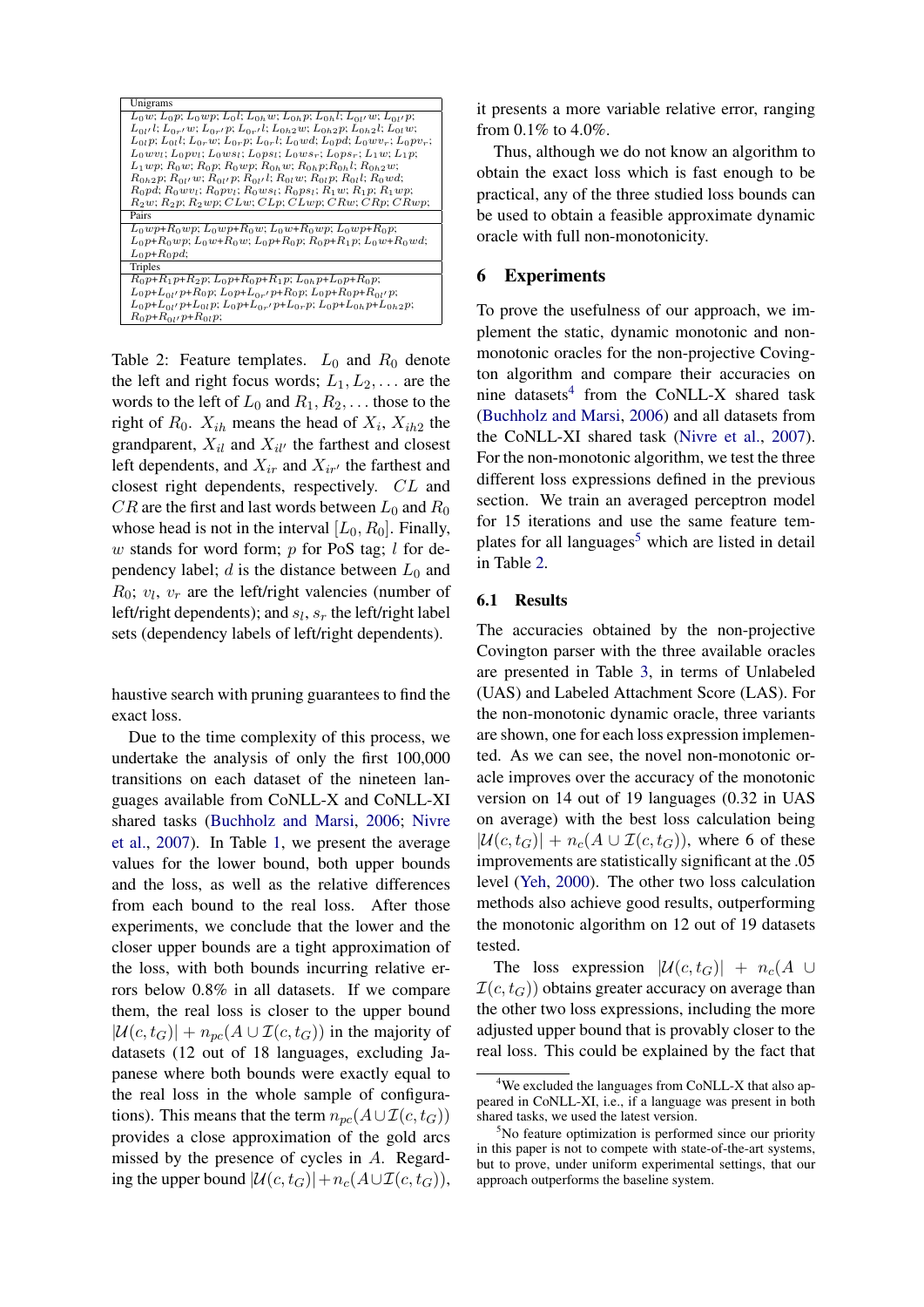| Unigrams                                                                                                |
|---------------------------------------------------------------------------------------------------------|
| $L_0w$ ; $L_0p$ ; $L_0wp$ ; $L_0l$ ; $L_{0h}w$ ; $L_{0h}p$ ; $L_{0h}l$ ; $L_{0l'}w$ ; $L_{0l'}p$ ;      |
| $L_{0l'}$ l; $L_{0r'}$ w; $L_{0r'}$ p; $L_{0r'}$ l; $L_{0h2}$ w; $L_{0h2}$ p; $L_{0h2}$ l; $L_{0l}$ w;  |
| $L_{0l}p; L_{0l}l; L_{0r}w; L_{0r}p; L_{0r}l; L_0wd; L_0pd; L_0wv_r; L_0pv_r;$                          |
| $L_0 w v_l$ ; $L_0 p v_l$ ; $L_0 w s_l$ ; $L_0 p s_l$ ; $L_0 w s_r$ ; $L_0 p s_r$ ; $L_1 w$ ; $L_1 p$ ; |
| $L_1wp; R_0w; R_0p; R_0wp; R_{0h}w; R_{0h}p; R_{0h}l; R_{0h2}w;$                                        |
| $R_{0h2}$ p; $R_{0l'}$ w; $R_{0l'}$ p; $R_{0l'}$ l; $R_{0l}$ w; $R_{0l}$ p; $R_{0l}$ l; $R_{0}$ wd;     |
| $R_0pd; R_0wv_l; R_0pv_l; R_0ws_l; R_0ps_l; R_1w; R_1p; R_1wp;$                                         |
| $R_2w$ ; $R_2p$ ; $R_2wp$ ; $CLw$ ; $CLp$ ; $CLwp$ ; $CRw$ ; $CRp$ ; $CRwp$ ;                           |
| Pairs                                                                                                   |
| $L_0wp+R_0wp; L_0wp+R_0w; L_0w+R_0wp; L_0wp+R_0p;$                                                      |
| $L_0 p+R_0 wp$ ; $L_0 w+R_0 w$ ; $L_0 p+R_0 p$ ; $R_0 p+R_1 p$ ; $L_0 w+R_0 wd$ ;                       |
| $L_0 p + R_0 p d$ ;                                                                                     |
| Triples                                                                                                 |
| $R_0 p+R_1 p+R_2 p$ ; $L_0 p+R_0 p+R_1 p$ ; $L_{0h} p+L_0 p+R_0 p$ ;                                    |
| $L_0 p+L_{0l} p+R_0 p$ ; $L_0 p+L_{0r} p+R_0 p$ ; $L_0 p+R_0 p+R_{0l} p$ ;                              |
| $L_0 p+L_{0l} p+L_{0l} p$ ; $L_0 p+L_{0r} p+L_{0r} p$ ; $L_0 p+L_{0h} p+L_{0h} p$ ;                     |
| $R_0 p + R_{0l} p + R_{0l} p$ ;                                                                         |

<span id="page-6-2"></span>Table 2: Feature templates.  $L_0$  and  $R_0$  denote the left and right focus words;  $L_1, L_2, \ldots$  are the words to the left of  $L_0$  and  $R_1, R_2, \ldots$  those to the right of  $R_0$ .  $X_{ih}$  means the head of  $X_i$ ,  $X_{ih2}$  the grandparent,  $X_{il}$  and  $X_{il'}$  the farthest and closest left dependents, and  $X_{ir}$  and  $X_{ir'}$  the farthest and closest right dependents, respectively. CL and  $CR$  are the first and last words between  $L_0$  and  $R_0$ whose head is not in the interval  $[L_0, R_0]$ . Finally, w stands for word form;  $p$  for PoS tag;  $l$  for dependency label; d is the distance between  $L_0$  and  $R_0$ ;  $v_l$ ,  $v_r$  are the left/right valencies (number of left/right dependents); and  $s_l$ ,  $s_r$  the left/right label sets (dependency labels of left/right dependents).

haustive search with pruning guarantees to find the exact loss.

Due to the time complexity of this process, we undertake the analysis of only the first 100,000 transitions on each dataset of the nineteen languages available from CoNLL-X and CoNLL-XI shared tasks [\(Buchholz and Marsi,](#page-9-13) [2006;](#page-9-13) [Nivre](#page-9-14) [et al.,](#page-9-14) [2007\)](#page-9-14). In Table [1,](#page-5-1) we present the average values for the lower bound, both upper bounds and the loss, as well as the relative differences from each bound to the real loss. After those experiments, we conclude that the lower and the closer upper bounds are a tight approximation of the loss, with both bounds incurring relative errors below 0.8% in all datasets. If we compare them, the real loss is closer to the upper bound  $|\mathcal{U}(c, t_G)| + n_{nc}(A \cup \mathcal{I}(c, t_G))$  in the majority of datasets (12 out of 18 languages, excluding Japanese where both bounds were exactly equal to the real loss in the whole sample of configurations). This means that the term  $n_{pc}(A\cup \mathcal{I}(c, t_G))$ provides a close approximation of the gold arcs missed by the presence of cycles in A. Regarding the upper bound  $|\mathcal{U}(c, t_G)|+n_c(A\cup \mathcal{I}(c, t_G)),$ 

it presents a more variable relative error, ranging from 0.1% to 4.0%.

Thus, although we do not know an algorithm to obtain the exact loss which is fast enough to be practical, any of the three studied loss bounds can be used to obtain a feasible approximate dynamic oracle with full non-monotonicity.

### 6 Experiments

To prove the usefulness of our approach, we implement the static, dynamic monotonic and nonmonotonic oracles for the non-projective Covington algorithm and compare their accuracies on nine datasets<sup>[4](#page-6-0)</sup> from the CoNLL-X shared task [\(Buchholz and Marsi,](#page-9-13) [2006\)](#page-9-13) and all datasets from the CoNLL-XI shared task [\(Nivre et al.,](#page-9-14) [2007\)](#page-9-14). For the non-monotonic algorithm, we test the three different loss expressions defined in the previous section. We train an averaged perceptron model for 15 iterations and use the same feature tem-plates for all languages<sup>[5](#page-6-1)</sup> which are listed in detail in Table [2.](#page-6-2)

#### 6.1 Results

The accuracies obtained by the non-projective Covington parser with the three available oracles are presented in Table [3,](#page-7-0) in terms of Unlabeled (UAS) and Labeled Attachment Score (LAS). For the non-monotonic dynamic oracle, three variants are shown, one for each loss expression implemented. As we can see, the novel non-monotonic oracle improves over the accuracy of the monotonic version on 14 out of 19 languages (0.32 in UAS on average) with the best loss calculation being  $|\mathcal{U}(c, t_G)| + n_c(A \cup \mathcal{I}(c, t_G))$ , where 6 of these improvements are statistically significant at the .05 level [\(Yeh,](#page-10-1) [2000\)](#page-10-1). The other two loss calculation methods also achieve good results, outperforming the monotonic algorithm on 12 out of 19 datasets tested.

The loss expression  $|\mathcal{U}(c, t_G)| + n_c(A \cup$  $\mathcal{I}(c, t_G)$  obtains greater accuracy on average than the other two loss expressions, including the more adjusted upper bound that is provably closer to the real loss. This could be explained by the fact that

<span id="page-6-0"></span><sup>&</sup>lt;sup>4</sup>We excluded the languages from CoNLL-X that also appeared in CoNLL-XI, i.e., if a language was present in both shared tasks, we used the latest version.

<span id="page-6-1"></span> $5$ No feature optimization is performed since our priority in this paper is not to compete with state-of-the-art systems, but to prove, under uniform experimental settings, that our approach outperforms the baseline system.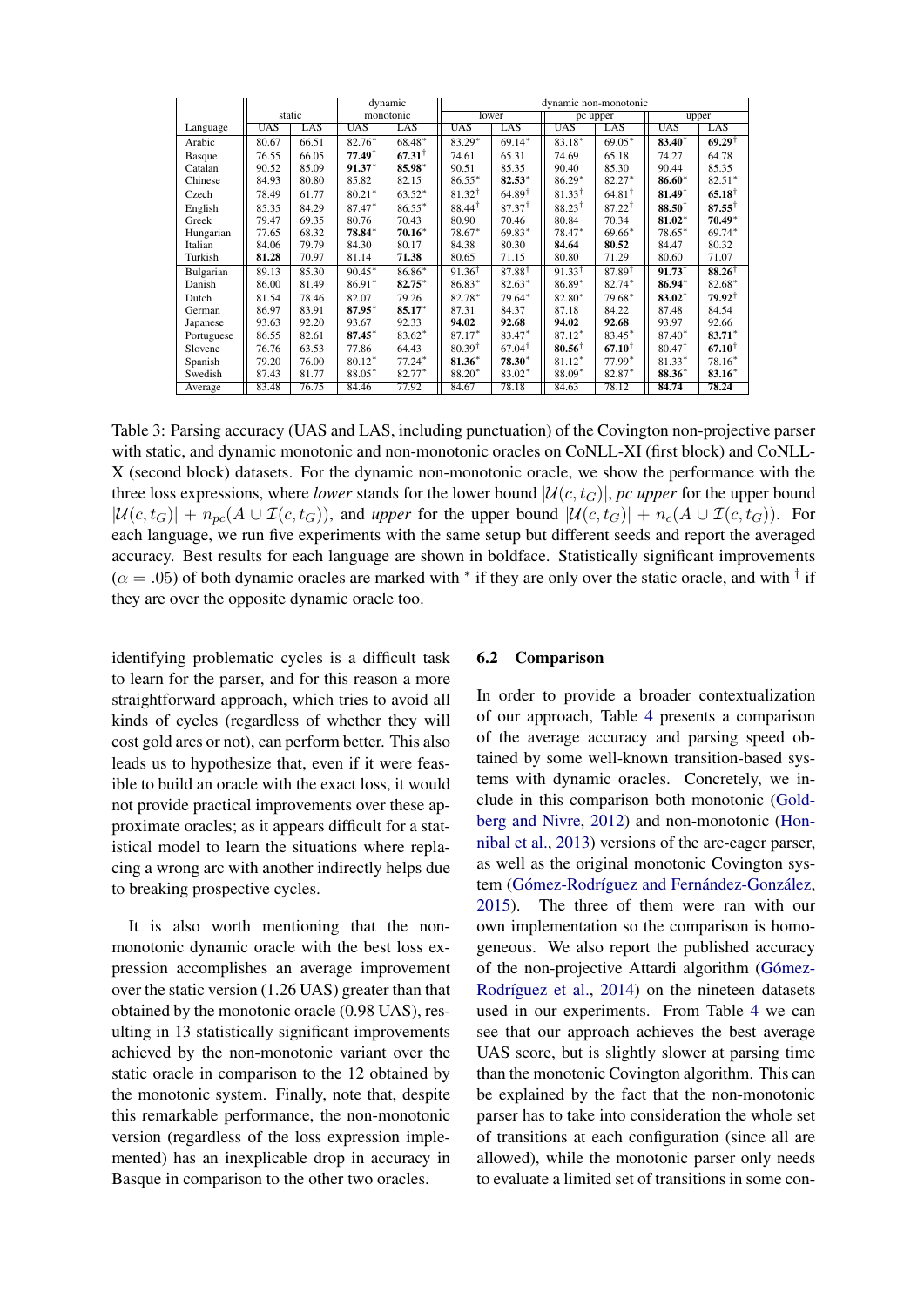|               |            |        |                   | dynamic           | dynamic non-monotonic |                      |                   |                   |                   |                   |
|---------------|------------|--------|-------------------|-------------------|-----------------------|----------------------|-------------------|-------------------|-------------------|-------------------|
|               |            | static | monotonic         |                   | lower                 |                      | pc upper          |                   | upper             |                   |
| Language      | <b>UAS</b> | LAS    | <b>UAS</b>        | LAS               | <b>UAS</b>            | LAS                  | <b>UAS</b>        | LAS               | <b>UAS</b>        | LĀS               |
| Arabic        | 80.67      | 66.51  | 82.76*            | 68.48*            | 83.29*                | $69.14*$             | 83.18*            | $69.05*$          | $83.40^{\dagger}$ | $69.29^{\dagger}$ |
| <b>Basque</b> | 76.55      | 66.05  | $77.49^{\dagger}$ | $67.31^{\dagger}$ | 74.61                 | 65.31                | 74.69             | 65.18             | 74.27             | 64.78             |
| Catalan       | 90.52      | 85.09  | $91.37*$          | 85.98*            | 90.51                 | 85.35                | 90.40             | 85.30             | 90.44             | 85.35             |
| Chinese       | 84.93      | 80.80  | 85.82             | 82.15             | $86.55*$              | $82.53*$             | $86.29*$          | $82.27*$          | 86.60*            | $82.51*$          |
| Czech         | 78.49      | 61.77  | $80.21*$          | $63.52*$          | $81.32^{\dagger}$     | $64.89$ <sup>T</sup> | $81.33^{\dagger}$ | $64.81^{\dagger}$ | $81.49^{\dagger}$ | $65.18^{\dagger}$ |
| English       | 85.35      | 84.29  | 87.47*            | $86.55*$          | $88.44^{\dagger}$     | $87.37^{\dagger}$    | $88.23^{\dagger}$ | $87.22^{\dagger}$ | $88.50^{\dagger}$ | $87.55^+$         |
| Greek         | 79.47      | 69.35  | 80.76             | 70.43             | 80.90                 | 70.46                | 80.84             | 70.34             | 81.02*            | $70.49*$          |
| Hungarian     | 77.65      | 68.32  | 78.84*            | $70.16*$          | $78.67*$              | $69.83*$             | 78.47*            | 69.66*            | 78.65*            | 69.74*            |
| Italian       | 84.06      | 79.79  | 84.30             | 80.17             | 84.38                 | 80.30                | 84.64             | 80.52             | 84.47             | 80.32             |
| Turkish       | 81.28      | 70.97  | 81.14             | 71.38             | 80.65                 | 71.15                | 80.80             | 71.29             | 80.60             | 71.07             |
| Bulgarian     | 89.13      | 85.30  | $90.45*$          | 86.86*            | $91.36^{\dagger}$     | $87.88^{\dagger}$    | $91.33^{\dagger}$ | $87.89^{\dagger}$ | $91.73^{\dagger}$ | $88.26^{\dagger}$ |
| Danish        | 86.00      | 81.49  | 86.91*            | 82.75*            | 86.83*                | 82.63*               | 86.89*            | 82.74*            | 86.94*            | 82.68*            |
| Dutch         | 81.54      | 78.46  | 82.07             | 79.26             | 82.78*                | 79.64*               | 82.80*            | 79.68*            | $83.02^+$         | $79.92^{\dagger}$ |
| German        | 86.97      | 83.91  | 87.95*            | 85.17*            | 87.31                 | 84.37                | 87.18             | 84.22             | 87.48             | 84.54             |
| Japanese      | 93.63      | 92.20  | 93.67             | 92.33             | 94.02                 | 92.68                | 94.02             | 92.68             | 93.97             | 92.66             |
| Portuguese    | 86.55      | 82.61  | 87.45*            | $83.62*$          | 87.17*                | 83.47*               | 87.12*            | 83.45*            | 87.40*            | $83.71*$          |
| Slovene       | 76.76      | 63.53  | 77.86             | 64.43             | $80.39^{\dagger}$     | $67.04^{\dagger}$    | $80.56^{\dagger}$ | $67.10^{+}$       | $80.47^{\dagger}$ | $67.10^+$         |
| Spanish       | 79.20      | 76.00  | $80.12*$          | $77.24*$          | 81.36*                | 78.30*               | 81.12*            | 77.99*            | $81.33*$          | 78.16*            |
| Swedish       | 87.43      | 81.77  | 88.05*            | 82.77*            | 88.20*                | 83.02*               | 88.09*            | 82.87*            | 88.36*            | 83.16*            |
| Average       | 83.48      | 76.75  | 84.46             | 77.92             | 84.67                 | 78.18                | 84.63             | 78.12             | 84.74             | 78.24             |

Table 3: Parsing accuracy (UAS and LAS, including punctuation) of the Covington non-projective parser with static, and dynamic monotonic and non-monotonic oracles on CoNLL-XI (first block) and CoNLL-X (second block) datasets. For the dynamic non-monotonic oracle, we show the performance with the three loss expressions, where *lower* stands for the lower bound  $\mathcal{U}(c, t_G)$ , *pc upper* for the upper bound  $|\mathcal{U}(c, t_G)| + n_{pc}(A \cup \mathcal{I}(c, t_G))$ , and *upper* for the upper bound  $|\mathcal{U}(c, t_G)| + n_c(A \cup \mathcal{I}(c, t_G))$ . For each language, we run five experiments with the same setup but different seeds and report the averaged accuracy. Best results for each language are shown in boldface. Statistically significant improvements  $(\alpha = .05)$  of both dynamic oracles are marked with  $*$  if they are only over the static oracle, and with  $\dagger$  if they are over the opposite dynamic oracle too.

identifying problematic cycles is a difficult task to learn for the parser, and for this reason a more straightforward approach, which tries to avoid all kinds of cycles (regardless of whether they will cost gold arcs or not), can perform better. This also leads us to hypothesize that, even if it were feasible to build an oracle with the exact loss, it would not provide practical improvements over these approximate oracles; as it appears difficult for a statistical model to learn the situations where replacing a wrong arc with another indirectly helps due to breaking prospective cycles.

It is also worth mentioning that the nonmonotonic dynamic oracle with the best loss expression accomplishes an average improvement over the static version (1.26 UAS) greater than that obtained by the monotonic oracle (0.98 UAS), resulting in 13 statistically significant improvements achieved by the non-monotonic variant over the static oracle in comparison to the 12 obtained by the monotonic system. Finally, note that, despite this remarkable performance, the non-monotonic version (regardless of the loss expression implemented) has an inexplicable drop in accuracy in Basque in comparison to the other two oracles.

### <span id="page-7-0"></span>6.2 Comparison

In order to provide a broader contextualization of our approach, Table [4](#page-8-0) presents a comparison of the average accuracy and parsing speed obtained by some well-known transition-based systems with dynamic oracles. Concretely, we include in this comparison both monotonic [\(Gold](#page-9-1)[berg and Nivre,](#page-9-1) [2012\)](#page-9-1) and non-monotonic [\(Hon](#page-9-2)[nibal et al.,](#page-9-2) [2013\)](#page-9-2) versions of the arc-eager parser, as well as the original monotonic Covington system (Gómez-Rodríguez and Fernández-González, [2015\)](#page-9-4). The three of them were ran with our own implementation so the comparison is homogeneous. We also report the published accuracy of the non-projective Attardi algorithm (Gómez-Rodríguez et al., [2014\)](#page-9-15) on the nineteen datasets used in our experiments. From Table [4](#page-8-0) we can see that our approach achieves the best average UAS score, but is slightly slower at parsing time than the monotonic Covington algorithm. This can be explained by the fact that the non-monotonic parser has to take into consideration the whole set of transitions at each configuration (since all are allowed), while the monotonic parser only needs to evaluate a limited set of transitions in some con-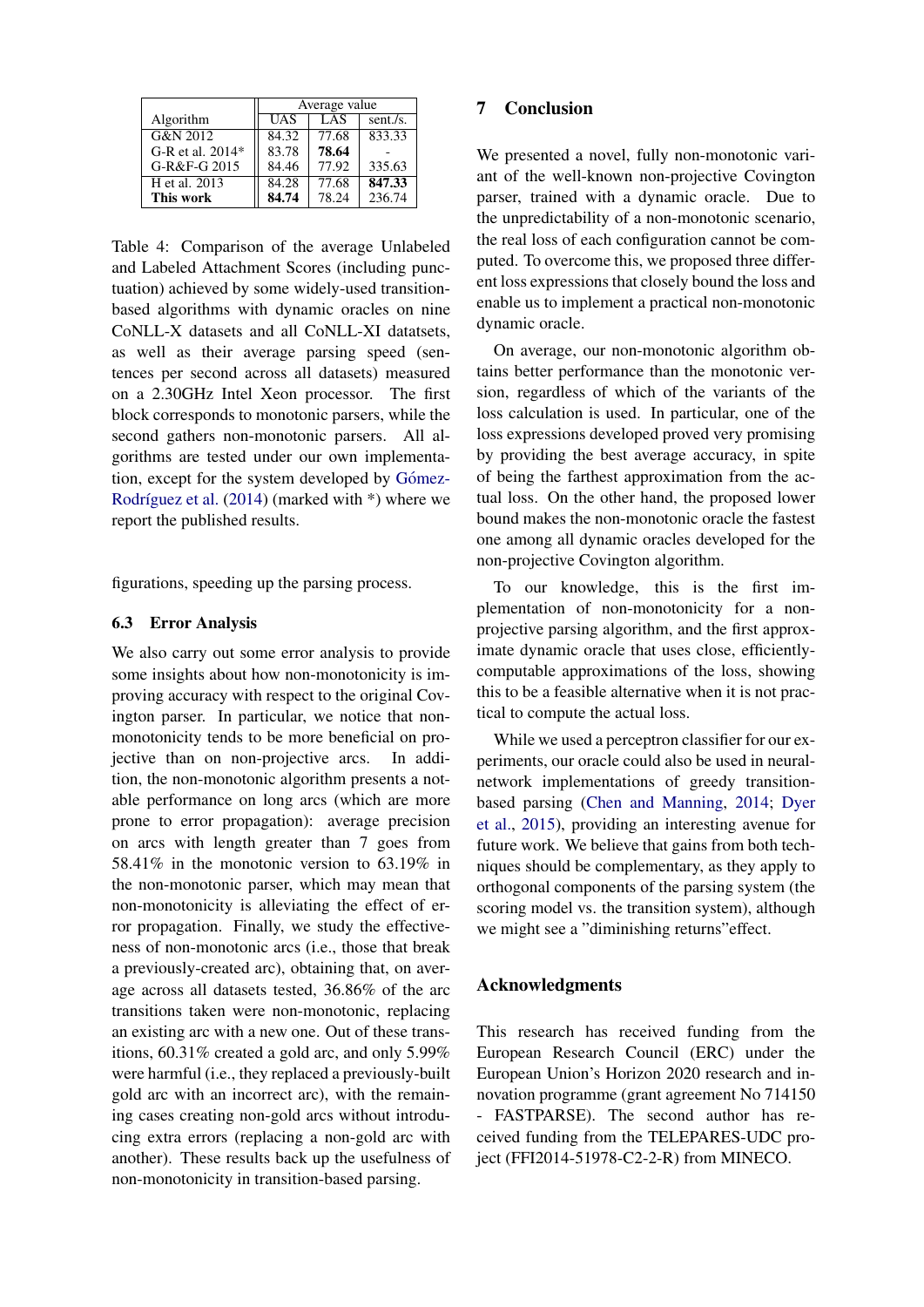|                    | Average value |            |          |  |  |  |
|--------------------|---------------|------------|----------|--|--|--|
| Algorithm          | <b>UAS</b>    | <b>LAS</b> | sent./s. |  |  |  |
| G&N 2012           | 84.32         | 77.68      | 833.33   |  |  |  |
| $G-R$ et al. 2014* | 83.78         | 78.64      |          |  |  |  |
| G-R&F-G 2015       | 84.46         | 77.92      | 335.63   |  |  |  |
| H et al. 2013      | 84.28         | 77.68      | 847.33   |  |  |  |
| This work          | 84.74         | 78.24      | 236.74   |  |  |  |

Table 4: Comparison of the average Unlabeled and Labeled Attachment Scores (including punctuation) achieved by some widely-used transitionbased algorithms with dynamic oracles on nine CoNLL-X datasets and all CoNLL-XI datatsets, as well as their average parsing speed (sentences per second across all datasets) measured on a 2.30GHz Intel Xeon processor. The first block corresponds to monotonic parsers, while the second gathers non-monotonic parsers. All algorithms are tested under our own implementation, except for the system developed by Gómez-Rodríguez et al.  $(2014)$  (marked with  $*)$  where we report the published results.

figurations, speeding up the parsing process.

### 6.3 Error Analysis

We also carry out some error analysis to provide some insights about how non-monotonicity is improving accuracy with respect to the original Covington parser. In particular, we notice that nonmonotonicity tends to be more beneficial on projective than on non-projective arcs. In addition, the non-monotonic algorithm presents a notable performance on long arcs (which are more prone to error propagation): average precision on arcs with length greater than 7 goes from 58.41% in the monotonic version to 63.19% in the non-monotonic parser, which may mean that non-monotonicity is alleviating the effect of error propagation. Finally, we study the effectiveness of non-monotonic arcs (i.e., those that break a previously-created arc), obtaining that, on average across all datasets tested, 36.86% of the arc transitions taken were non-monotonic, replacing an existing arc with a new one. Out of these transitions, 60.31% created a gold arc, and only 5.99% were harmful (i.e., they replaced a previously-built gold arc with an incorrect arc), with the remaining cases creating non-gold arcs without introducing extra errors (replacing a non-gold arc with another). These results back up the usefulness of non-monotonicity in transition-based parsing.

## 7 Conclusion

<span id="page-8-0"></span>We presented a novel, fully non-monotonic variant of the well-known non-projective Covington parser, trained with a dynamic oracle. Due to the unpredictability of a non-monotonic scenario, the real loss of each configuration cannot be computed. To overcome this, we proposed three different loss expressions that closely bound the loss and enable us to implement a practical non-monotonic dynamic oracle.

On average, our non-monotonic algorithm obtains better performance than the monotonic version, regardless of which of the variants of the loss calculation is used. In particular, one of the loss expressions developed proved very promising by providing the best average accuracy, in spite of being the farthest approximation from the actual loss. On the other hand, the proposed lower bound makes the non-monotonic oracle the fastest one among all dynamic oracles developed for the non-projective Covington algorithm.

To our knowledge, this is the first implementation of non-monotonicity for a nonprojective parsing algorithm, and the first approximate dynamic oracle that uses close, efficientlycomputable approximations of the loss, showing this to be a feasible alternative when it is not practical to compute the actual loss.

While we used a perceptron classifier for our experiments, our oracle could also be used in neuralnetwork implementations of greedy transitionbased parsing [\(Chen and Manning,](#page-9-16) [2014;](#page-9-16) [Dyer](#page-9-17) [et al.,](#page-9-17) [2015\)](#page-9-17), providing an interesting avenue for future work. We believe that gains from both techniques should be complementary, as they apply to orthogonal components of the parsing system (the scoring model vs. the transition system), although we might see a "diminishing returns"effect.

## Acknowledgments

This research has received funding from the European Research Council (ERC) under the European Union's Horizon 2020 research and innovation programme (grant agreement No 714150 - FASTPARSE). The second author has received funding from the TELEPARES-UDC project (FFI2014-51978-C2-2-R) from MINECO.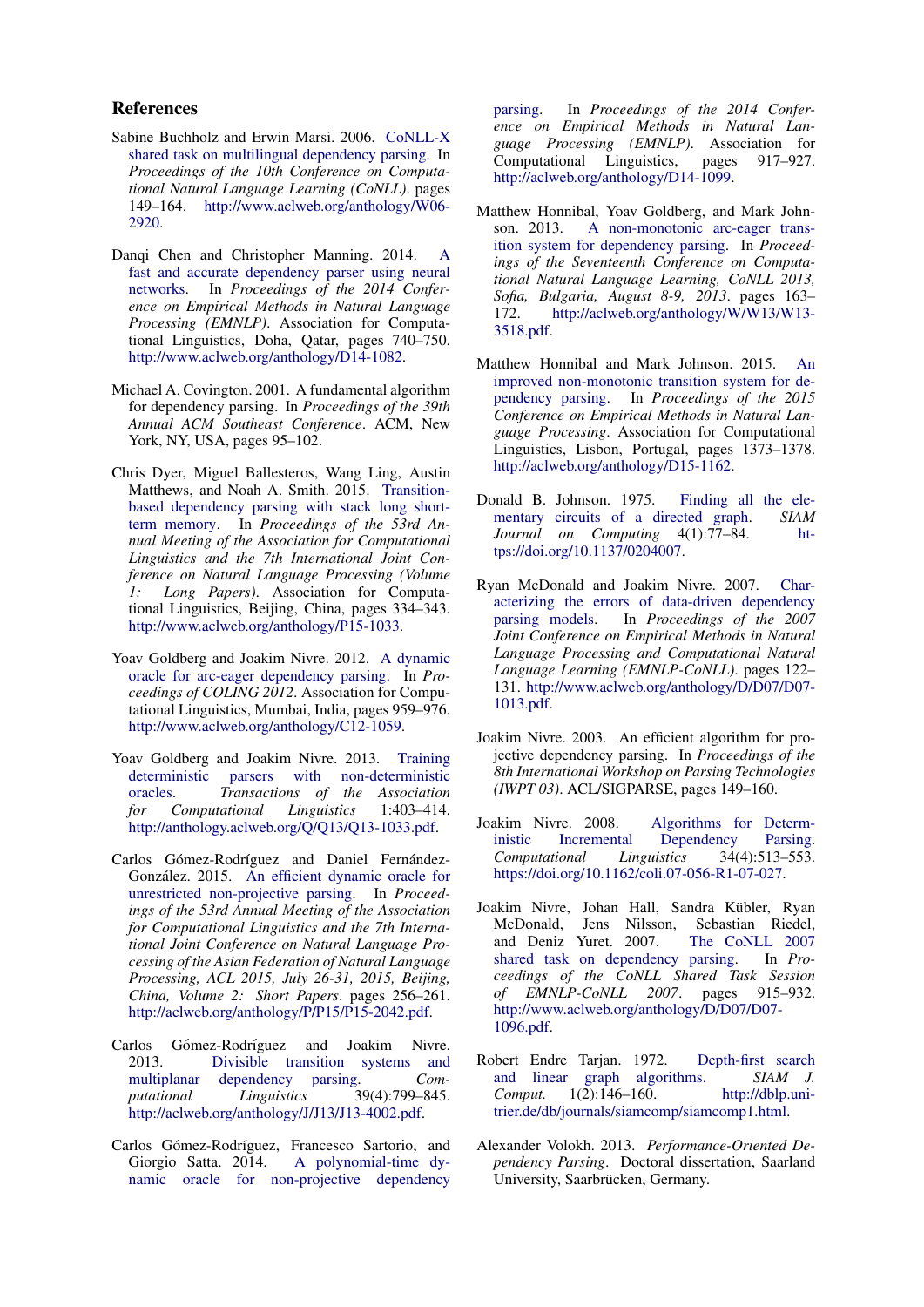#### References

- <span id="page-9-13"></span>Sabine Buchholz and Erwin Marsi. 2006. [CoNLL-X](http://www.aclweb.org/anthology/W06-2920) [shared task on multilingual dependency parsing.](http://www.aclweb.org/anthology/W06-2920) In *Proceedings of the 10th Conference on Computational Natural Language Learning (CoNLL)*. pages 149–164. [http://www.aclweb.org/anthology/W06-](http://www.aclweb.org/anthology/W06-2920) [2920.](http://www.aclweb.org/anthology/W06-2920)
- <span id="page-9-16"></span>Danqi Chen and Christopher Manning. 2014. [A](http://www.aclweb.org/anthology/D14-1082) [fast and accurate dependency parser using neural](http://www.aclweb.org/anthology/D14-1082) [networks.](http://www.aclweb.org/anthology/D14-1082) In *Proceedings of the 2014 Conference on Empirical Methods in Natural Language Processing (EMNLP)*. Association for Computational Linguistics, Doha, Qatar, pages 740–750. [http://www.aclweb.org/anthology/D14-1082.](http://www.aclweb.org/anthology/D14-1082)
- <span id="page-9-5"></span>Michael A. Covington. 2001. A fundamental algorithm for dependency parsing. In *Proceedings of the 39th Annual ACM Southeast Conference*. ACM, New York, NY, USA, pages 95–102.
- <span id="page-9-17"></span>Chris Dyer, Miguel Ballesteros, Wang Ling, Austin Matthews, and Noah A. Smith. 2015. [Transition](http://www.aclweb.org/anthology/P15-1033)[based dependency parsing with stack long short](http://www.aclweb.org/anthology/P15-1033)[term memory.](http://www.aclweb.org/anthology/P15-1033) In *Proceedings of the 53rd Annual Meeting of the Association for Computational Linguistics and the 7th International Joint Conference on Natural Language Processing (Volume 1: Long Papers)*. Association for Computational Linguistics, Beijing, China, pages 334–343. [http://www.aclweb.org/anthology/P15-1033.](http://www.aclweb.org/anthology/P15-1033)
- <span id="page-9-1"></span>Yoav Goldberg and Joakim Nivre. 2012. [A dynamic](http://www.aclweb.org/anthology/C12-1059) [oracle for arc-eager dependency parsing.](http://www.aclweb.org/anthology/C12-1059) In *Proceedings of COLING 2012*. Association for Computational Linguistics, Mumbai, India, pages 959–976. [http://www.aclweb.org/anthology/C12-1059.](http://www.aclweb.org/anthology/C12-1059)
- <span id="page-9-10"></span>Yoav Goldberg and Joakim Nivre. 2013. [Training](http://anthology.aclweb.org/Q/Q13/Q13-1033.pdf) [deterministic parsers with non-deterministic](http://anthology.aclweb.org/Q/Q13/Q13-1033.pdf) [oracles.](http://anthology.aclweb.org/Q/Q13/Q13-1033.pdf) *Transactions of the Association for Computational Linguistics* 1:403–414. [http://anthology.aclweb.org/Q/Q13/Q13-1033.pdf.](http://anthology.aclweb.org/Q/Q13/Q13-1033.pdf)
- <span id="page-9-4"></span>Carlos Gómez-Rodríguez and Daniel Fernández-González. 2015. [An efficient dynamic oracle for](http://aclweb.org/anthology/P/P15/P15-2042.pdf) [unrestricted non-projective parsing.](http://aclweb.org/anthology/P/P15/P15-2042.pdf) In *Proceedings of the 53rd Annual Meeting of the Association for Computational Linguistics and the 7th International Joint Conference on Natural Language Processing of the Asian Federation of Natural Language Processing, ACL 2015, July 26-31, 2015, Beijing, China, Volume 2: Short Papers*. pages 256–261. [http://aclweb.org/anthology/P/P15/P15-2042.pdf.](http://aclweb.org/anthology/P/P15/P15-2042.pdf)
- <span id="page-9-8"></span>Carlos Gómez-Rodríguez and Joakim Nivre. 2013. [Divisible transition systems and](http://aclweb.org/anthology/J/J13/J13-4002.pdf) [multiplanar dependency parsing.](http://aclweb.org/anthology/J/J13/J13-4002.pdf) *Computational Linguistics* 39(4):799–845. [http://aclweb.org/anthology/J/J13/J13-4002.pdf.](http://aclweb.org/anthology/J/J13/J13-4002.pdf)
- <span id="page-9-15"></span>Carlos Gómez-Rodríguez, Francesco Sartorio, and Giorgio Satta. 2014. [A polynomial-time dy](http://aclweb.org/anthology/D14-1099)[namic oracle for non-projective dependency](http://aclweb.org/anthology/D14-1099)

[parsing.](http://aclweb.org/anthology/D14-1099) In *Proceedings of the 2014 Conference on Empirical Methods in Natural Language Processing (EMNLP)*. Association for Computational Linguistics, pages 917–927. [http://aclweb.org/anthology/D14-1099.](http://aclweb.org/anthology/D14-1099)

- <span id="page-9-2"></span>Matthew Honnibal, Yoav Goldberg, and Mark Johnson. 2013. [A non-monotonic arc-eager trans](http://aclweb.org/anthology/W/W13/W13-3518.pdf)[ition system for dependency parsing.](http://aclweb.org/anthology/W/W13/W13-3518.pdf) In *Proceedings of the Seventeenth Conference on Computational Natural Language Learning, CoNLL 2013, Sofia, Bulgaria, August 8-9, 2013*. pages 163– 172. [http://aclweb.org/anthology/W/W13/W13-](http://aclweb.org/anthology/W/W13/W13-3518.pdf) [3518.pdf.](http://aclweb.org/anthology/W/W13/W13-3518.pdf)
- <span id="page-9-3"></span>Matthew Honnibal and Mark Johnson. 2015. [An](http://aclweb.org/anthology/D15-1162) [improved non-monotonic transition system for de](http://aclweb.org/anthology/D15-1162)[pendency parsing.](http://aclweb.org/anthology/D15-1162) In *Proceedings of the 2015 Conference on Empirical Methods in Natural Language Processing*. Association for Computational Linguistics, Lisbon, Portugal, pages 1373–1378. [http://aclweb.org/anthology/D15-1162.](http://aclweb.org/anthology/D15-1162)
- <span id="page-9-12"></span>Donald B. Johnson. 1975. [Finding all the ele](https://doi.org/10.1137/0204007)[mentary circuits of a directed graph.](https://doi.org/10.1137/0204007) *SIAM Journal on Computing* 4(1):77–84. [ht](https://doi.org/10.1137/0204007)[tps://doi.org/10.1137/0204007.](https://doi.org/10.1137/0204007)
- <span id="page-9-0"></span>Ryan McDonald and Joakim Nivre. 2007. [Char](http://www.aclweb.org/anthology/D/D07/D07-1013.pdf)[acterizing the errors of data-driven dependency](http://www.aclweb.org/anthology/D/D07/D07-1013.pdf) [parsing models.](http://www.aclweb.org/anthology/D/D07/D07-1013.pdf) In *Proceedings of the 2007 Joint Conference on Empirical Methods in Natural Language Processing and Computational Natural Language Learning (EMNLP-CoNLL)*. pages 122– 131. [http://www.aclweb.org/anthology/D/D07/D07-](http://www.aclweb.org/anthology/D/D07/D07-1013.pdf) [1013.pdf.](http://www.aclweb.org/anthology/D/D07/D07-1013.pdf)
- <span id="page-9-7"></span>Joakim Nivre. 2003. An efficient algorithm for projective dependency parsing. In *Proceedings of the 8th International Workshop on Parsing Technologies (IWPT 03)*. ACL/SIGPARSE, pages 149–160.
- <span id="page-9-6"></span>Joakim Nivre. 2008. [Algorithms for Determ](https://doi.org/10.1162/coli.07-056-R1-07-027)[inistic Incremental Dependency Parsing.](https://doi.org/10.1162/coli.07-056-R1-07-027) *Computational Linguistics* 34(4):513–553. [https://doi.org/10.1162/coli.07-056-R1-07-027.](https://doi.org/10.1162/coli.07-056-R1-07-027)
- <span id="page-9-14"></span>Joakim Nivre, Johan Hall, Sandra Kübler, Ryan McDonald, Jens Nilsson, Sebastian Riedel,<br>and Deniz Yuret. 2007. The CoNLL 2007 and Deniz Yuret. 2007. [shared task on dependency parsing.](http://www.aclweb.org/anthology/D/D07/D07-1096.pdf) In *Proceedings of the CoNLL Shared Task Session of EMNLP-CoNLL 2007*. pages 915–932. [http://www.aclweb.org/anthology/D/D07/D07-](http://www.aclweb.org/anthology/D/D07/D07-1096.pdf) [1096.pdf.](http://www.aclweb.org/anthology/D/D07/D07-1096.pdf)
- <span id="page-9-11"></span>Robert Endre Tarjan. 1972. [Depth-first search](http://dblp.uni-trier.de/db/journals/siamcomp/siamcomp1.html) [and linear graph algorithms.](http://dblp.uni-trier.de/db/journals/siamcomp/siamcomp1.html) *SIAM J. Comput.* 1(2):146–160. [http://dblp.uni](http://dblp.uni-trier.de/db/journals/siamcomp/siamcomp1.html)[trier.de/db/journals/siamcomp/siamcomp1.html.](http://dblp.uni-trier.de/db/journals/siamcomp/siamcomp1.html)
- <span id="page-9-9"></span>Alexander Volokh. 2013. *Performance-Oriented Dependency Parsing*. Doctoral dissertation, Saarland University, Saarbrücken, Germany.